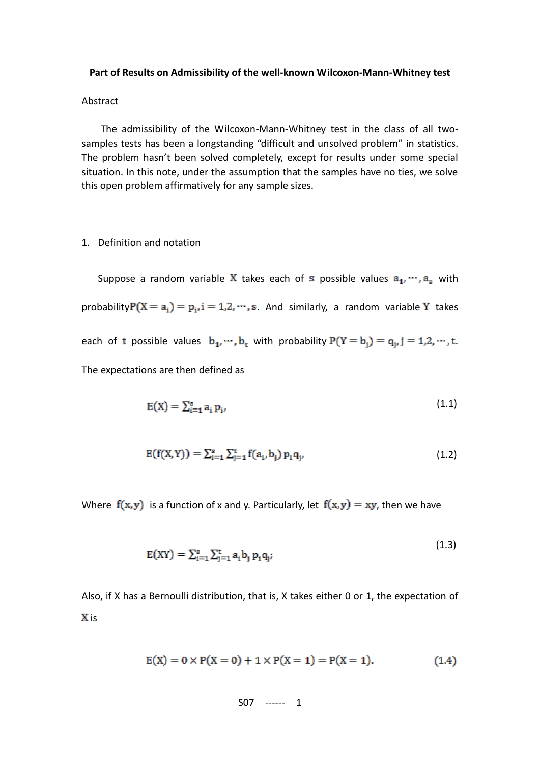#### **Part of Results on Admissibility of the well-known Wilcoxon-Mann-Whitney test**

#### Abstract

The admissibility of the Wilcoxon-Mann-Whitney test in the class of all twosamples tests has been a longstanding "difficult and unsolved problem" in statistics. The problem hasn't been solved completely, except for results under some special situation. In this note, under the assumption that the samples have no ties, we solve this open problem affirmatively for any sample sizes.

1. Definition and notation

Suppose a random variable X takes each of s possible values  $a_1, \dots, a_s$  with probability  $P(X = a_i) = p_i$ ,  $i = 1, 2, \dots, s$ . And similarly, a random variable Y takes each of t possible values  $b_1, \dots, b_t$  with probability  $P(Y = b_j) = q_{j}, j = 1, 2, \dots, t$ . The expectations are then defined as

$$
E(X) = \sum_{i=1}^{s} a_i p_i, \qquad (1.1)
$$

$$
E(f(X,Y)) = \sum_{i=1}^{s} \sum_{j=1}^{t} f(a_i, b_j) p_i q_j,
$$
\n(1.2)

Where  $f(x, y)$  is a function of x and y. Particularly, let  $f(x, y) = xy$ , then we have

$$
E(XY) = \sum_{i=1}^{s} \sum_{j=1}^{t} a_i b_j p_i q_j;
$$
 (1.3)

Also, if X has a Bernoulli distribution, that is, X takes either 0 or 1, the expectation of X is

$$
E(X) = 0 \times P(X = 0) + 1 \times P(X = 1) = P(X = 1). \tag{1.4}
$$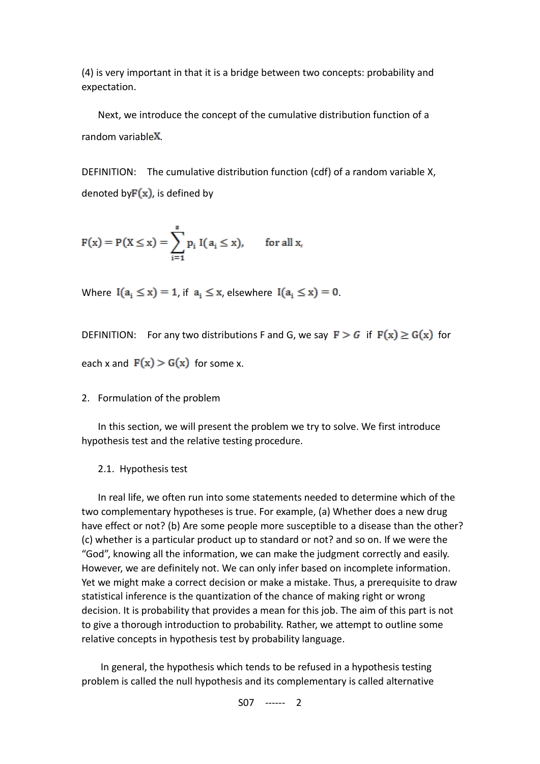(4) is very important in that it is a bridge between two concepts: probability and expectation.

Next, we introduce the concept of the cumulative distribution function of a random variable $X$ .

DEFINITION: The cumulative distribution function (cdf) of a random variable X, denoted by  $F(x)$ , is defined by

$$
F(x) = P(X \le x) = \sum_{i=1}^{s} p_i I(a_i \le x), \quad \text{for all } x,
$$

Where  $I(a_i \le x) = 1$ , if  $a_i \le x$ , elsewhere  $I(a_i \le x) = 0$ .

DEFINITION: For any two distributions F and G, we say  $\mathbf{F} > G$  if  $\mathbf{F}(\mathbf{x}) \geq \mathbf{G}(\mathbf{x})$  for each x and  $F(x) > G(x)$  for some x.

# 2. Formulation of the problem

In this section, we will present the problem we try to solve. We first introduce hypothesis test and the relative testing procedure.

# 2.1. Hypothesis test

In real life, we often run into some statements needed to determine which of the two complementary hypotheses is true. For example, (a) Whether does a new drug have effect or not? (b) Are some people more susceptible to a disease than the other? (c) whether is a particular product up to standard or not? and so on. If we were the "God", knowing all the information, we can make the judgment correctly and easily. However, we are definitely not. We can only infer based on incomplete information. Yet we might make a correct decision or make a mistake. Thus, a prerequisite to draw statistical inference is the quantization of the chance of making right or wrong decision. It is probability that provides a mean for this job. The aim of this part is not to give a thorough introduction to probability. Rather, we attempt to outline some relative concepts in hypothesis test by probability language.

In general, the hypothesis which tends to be refused in a hypothesis testing problem is called the null hypothesis and its complementary is called alternative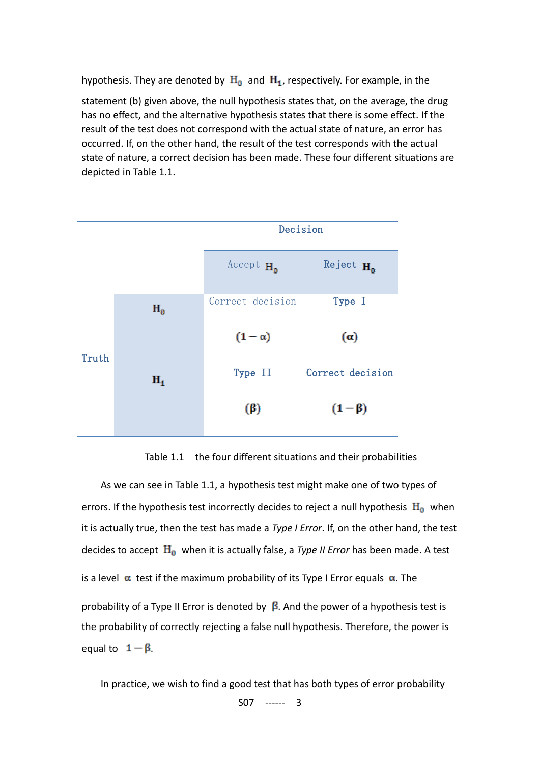hypothesis. They are denoted by  $H_0$  and  $H_1$ , respectively. For example, in the

statement (b) given above, the null hypothesis states that, on the average, the drug has no effect, and the alternative hypothesis states that there is some effect. If the result of the test does not correspond with the actual state of nature, an error has occurred. If, on the other hand, the result of the test corresponds with the actual state of nature, a correct decision has been made. These four different situations are depicted in Table 1.1.



Table 1.1 the four different situations and their probabilities

As we can see in Table 1.1, a hypothesis test might make one of two types of errors. If the hypothesis test incorrectly decides to reject [a null hypothesis](http://en.wikipedia.org/wiki/Null_hypothesis)  $H_0$  when it is actually true, then the test has made a *Type I Error*. If, on the other hand, the test decides to accept  $H_0$  when it is actually false, a *Type II Error* has been made. A test is a level  $\alpha$  test if the maximum probability of its Type I Error equals  $\alpha$ . The probability of a Type II Error is denoted by  $\beta$ . And the power of a hypothesis test is the probability of correctly rejecting a false null hypothesis. Therefore, the power is equal to  $1 - \beta$ .

S07 ------ 3 In practice, we wish to find a good test that has both types of error probability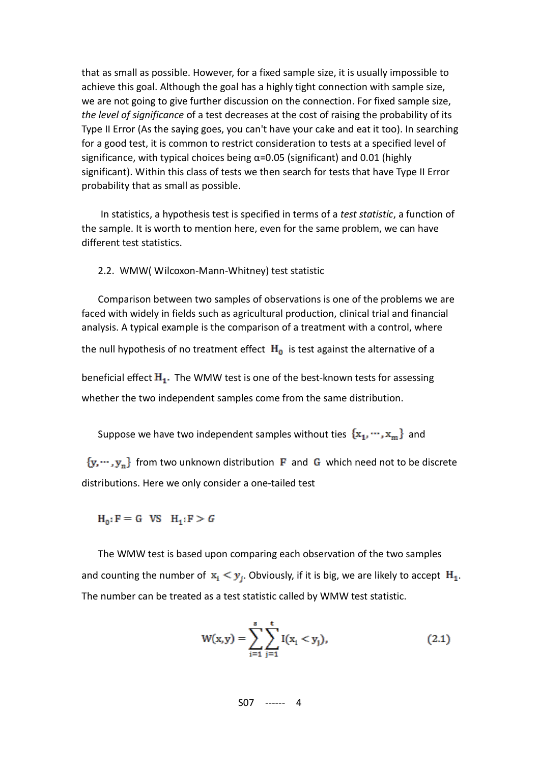that as small as possible. However, for a fixed sample size, it is usually impossible to achieve this goal. Although the goal has a highly tight connection with sample size, we are not going to give further discussion on the connection. For fixed sample size, *the level of significance* of a test decreases at the cost of raising the probability of its Type II Error (As the saying goes, you can't have your cake and eat it too). In searching for a good test, it is common to restrict consideration to tests at a specified level of significance, with typical choices being  $\alpha$ =0.05 (significant) and 0.01 (highly significant). Within this class of tests we then search for tests that have Type II Error probability that as small as possible.

In statistics, a hypothesis test is specified in terms of a *test statistic*, a function of the sample. It is worth to mention here, even for the same problem, we can have different test statistics.

2.2. WMW( Wilcoxon-Mann-Whitney) test statistic

Comparison between two samples of observations is one of the problems we are faced with widely in fields such as agricultural production, clinical trial and financial analysis. A typical example is the comparison of a treatment with a control, where the null hypothesis of no treatment effect  $H_0$  is test against the alternative of a beneficial effect  $H_1$ . The WMW test is one of the best-known tests for assessing whether the two independent samples come from the same distribution.

Suppose we have two independent samples without ties  $\{x_1, \dots, x_m\}$  and

 ${y, \dots, y_n}$  from two unknown distribution **F** and G which need not to be discrete distributions. Here we only consider a one-tailed test

 $H_0: F = G$  VS  $H_1: F > G$ 

The WMW test is based upon comparing each observation of the two samples and counting the number of  $x_i \leq y_j$ . Obviously, if it is big, we are likely to accept  $H_1$ . The number can be treated as a test statistic called by WMW test statistic.

$$
W(x,y) = \sum_{i=1}^{s} \sum_{j=1}^{t} I(x_i < y_j), \tag{2.1}
$$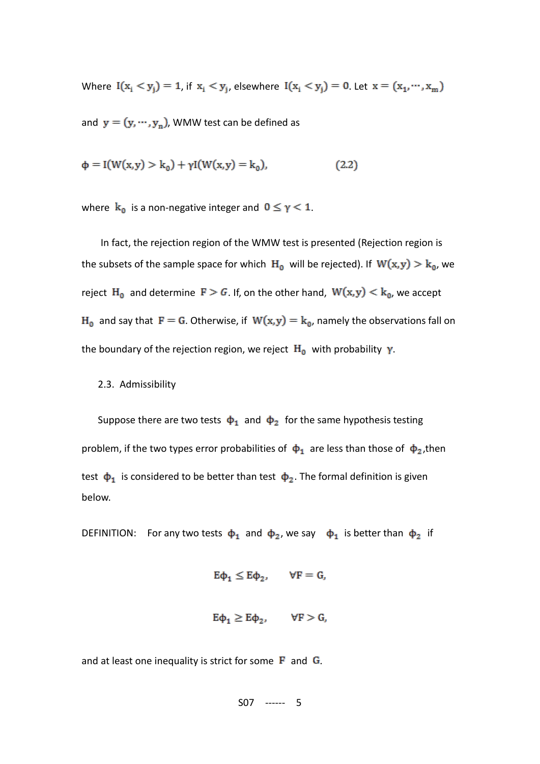Where  $I(x_i < y_j) = 1$ , if  $x_i < y_j$ , elsewhere  $I(x_i < y_j) = 0$ . Let  $x = (x_1, \dots, x_m)$ 

and  $y = (y, \dots, y_n)$ , WMW test can be defined as

$$
\Phi = I(W(x, y) > k_0) + \gamma I(W(x, y) = k_0),
$$
\n(2.2)

where  $k_0$  is a non-negative integer and  $0 \le \gamma < 1$ .

In fact, the rejection region of the WMW test is presented (Rejection region is the subsets of the sample space for which  $H_0$  will be rejected). If  $W(x,y) > k_0$ , we reject H<sub>0</sub> and determine  $F > G$ . If, on the other hand,  $W(x, y) < k_0$ , we accept  $H_0$  and say that  $F = G$ . Otherwise, if  $W(x, y) = k_0$ , namely the observations fall on the boundary of the rejection region, we reject  $H_0$  with probability  $\gamma$ .

# 2.3. Admissibility

Suppose there are two tests  $\phi_1$  and  $\phi_2$  for the same hypothesis testing problem, if the two types error probabilities of  $\phi_1$  are less than those of  $\phi_2$ , then test  $\phi_1$  is considered to be better than test  $\phi_2$ . The formal definition is given below.

DEFINITION: For any two tests  $\phi_1$  and  $\phi_2$ , we say  $\phi_1$  is better than  $\phi_2$  if

$$
E\varphi_1 \le E\varphi_2, \qquad \forall F = G,
$$

$$
E\varphi_1 \ge E\varphi_2, \qquad \forall F > G,
$$

and at least one inequality is strict for some  $\bf{F}$  and  $\bf{G}$ .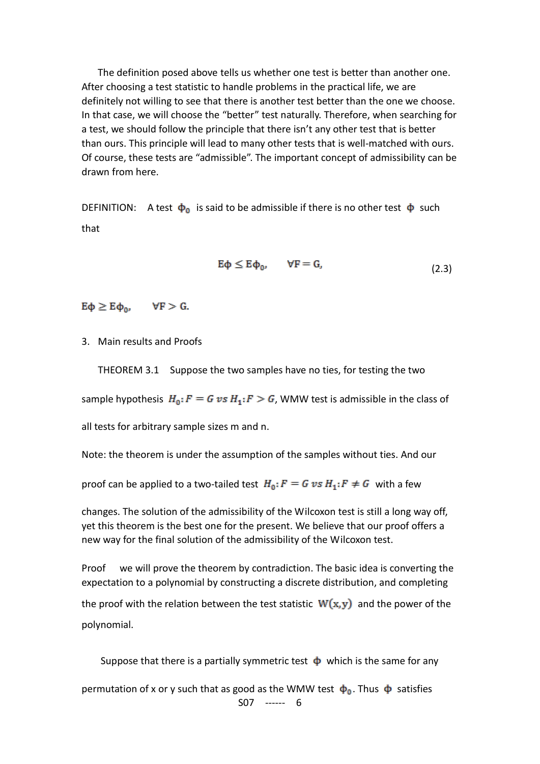The definition posed above tells us whether one test is better than another one. After choosing a test statistic to handle problems in the practical life, we are definitely not willing to see that there is another test better than the one we choose. In that case, we will choose the "better" test naturally. Therefore, when searching for a test, we should follow the principle that there isn't any other test that is better than ours. This principle will lead to many other tests that is well-matched with ours. Of course, these tests are "admissible". The important concept of admissibility can be drawn from here.

DEFINITION: A test  $\dot{\varphi}_0$  is said to be admissible if there is no other test  $\varphi$  such that

$$
E\varphi \le E\varphi_0, \qquad \forall F = G,\tag{2.3}
$$

 $E\phi \geq E\phi_0$ ,  $\forall F > G$ .

3. Main results and Proofs

THEOREM 3.1 Suppose the two samples have no ties, for testing the two

sample hypothesis  $H_0$ :  $F = G v s H_1$ :  $F > G$ , WMW test is admissible in the class of

all tests for arbitrary sample sizes m and n.

Note: the theorem is under the assumption of the samples without ties. And our

proof can be applied to a two-tailed test  $H_0$ :  $F = G v s H_1$ :  $F \neq G$  with a few

changes. The solution of the admissibility of the Wilcoxon test is still a long way off, yet this theorem is the best one for the present. We believe that our proof offers a new way for the final solution of the admissibility of the Wilcoxon test.

Proof we will prove the theorem by contradiction. The basic idea is converting the expectation to a polynomial by constructing a discrete distribution, and completing the proof with the relation between the test statistic  $W(x, y)$  and the power of the polynomial.

Suppose that there is a partially symmetric test  $\Phi$  which is the same for any

S07 ------ 6 permutation of x or y such that as good as the WMW test  $\phi_0$ . Thus  $\dot{\phi}$  satisfies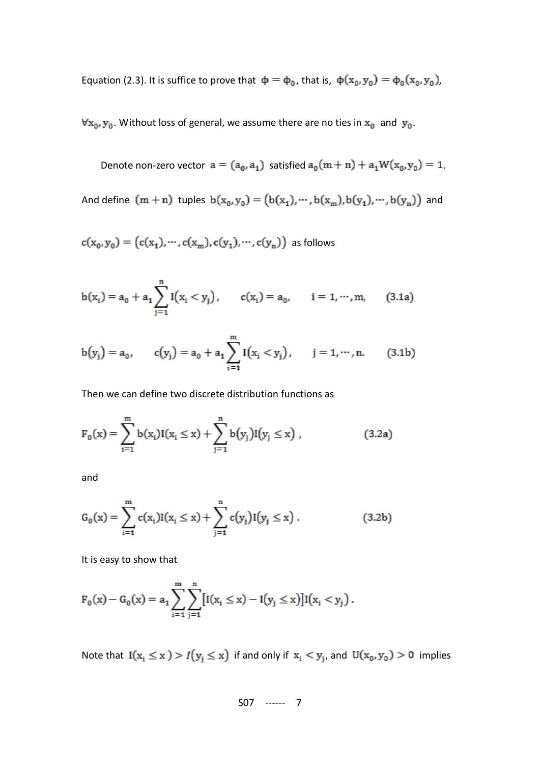Equation (2.3). It is suffice to prove that  $\phi = \phi_0$ , that is,  $\phi(x_0, y_0) = \phi_0(x_0, y_0)$ ,

 $\forall x_0, y_0$ . Without loss of general, we assume there are no ties in  $x_0$  and  $y_0$ .

Denote non-zero vector  $a = (a_0, a_1)$  satisfied  $a_0(m + n) + a_1W(x_0, y_0) = 1$ .

And define  $(m + n)$  tuples  $b(x_0, y_0) = (b(x_1), \dots, b(x_m), b(y_1), \dots, b(y_n))$  and

 $c(x_0, y_0) = (c(x_1), \cdots, c(x_m), c(y_1), \cdots, c(y_n))$  as follows

$$
b(x_i) = a_0 + a_1 \sum_{j=1}^{n} I(x_i < y_j), \qquad c(x_i) = a_0, \qquad i = 1, \dots, m,\tag{3.1a}
$$

$$
b(y_j) = a_0, \qquad c(y_j) = a_0 + a_1 \sum_{i=1}^{m} I(x_i < y_j), \qquad j = 1, \dots, n. \tag{3.1b}
$$

Then we can define two discrete distribution functions as

$$
F_0(x) = \sum_{i=1}^{m} b(x_i)I(x_i \le x) + \sum_{j=1}^{n} b(y_j)I(y_j \le x) , \qquad (3.2a)
$$

and

$$
G_0(x) = \sum_{i=1}^{m} c(x_i) I(x_i \le x) + \sum_{j=1}^{n} c(y_j) I(y_j \le x).
$$
 (3.2b)

It is easy to show that

$$
F_0(x) - G_0(x) = a_1 \sum_{i=1}^m \sum_{j=1}^n [I(x_i \le x) - I(y_j \le x)] I(x_i < y_j).
$$

Note that  $I(x_i \le x) > I(y_i \le x)$  if and only if  $x_i < y_j$ , and  $U(x_0, y_0) > 0$  implies

$$
507 \ \ \cdots \qquad 7
$$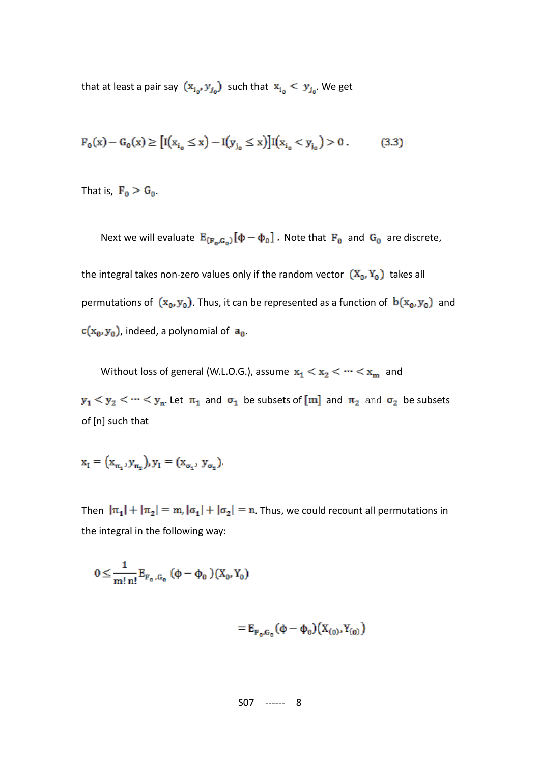that at least a pair say  $(x_{i_0}, y_{j_0})$  such that  $x_{i_0} < y_{j_0}$ . We get

$$
F_0(x) - G_0(x) \ge \left[ I(x_{i_0} \le x) - I(y_{j_0} \le x) \right] I(x_{i_0} < y_{j_0}) > 0. \tag{3.3}
$$

That is,  $F_0 > G_0$ .

Next we will evaluate  $E_{(F_0,G_0)}[\phi-\phi_0]$ . Note that  $F_0$  and  $G_0$  are discrete,

the integral takes non-zero values only if the random vector  $(X_0, Y_0)$  takes all permutations of  $(x_0, y_0)$ . Thus, it can be represented as a function of  $b(x_0, y_0)$  and  $c(x_0, y_0)$ , indeed, a polynomial of  $a_0$ .

Without loss of general (W.L.O.G.), assume  $x_1 < x_2 < \cdots < x_m$  and

 $y_1 < y_2 < \cdots < y_n$ . Let  $\pi_1$  and  $\sigma_1$  be subsets of [m] and  $\pi_2$  and  $\sigma_2$  be subsets of [n] such that

$$
x_1 = (x_{\pi_1}, y_{\pi_2}), y_1 = (x_{\sigma_1}, y_{\sigma_2}).
$$

Then  $|\pi_1| + |\pi_2| = m$ ,  $|\sigma_1| + |\sigma_2| = n$ . Thus, we could recount all permutations in the integral in the following way:

$$
0 \leq \frac{1}{m! \, n!} \, E_{F_0, G_0} \, (\varphi - \varphi_0 \,)(X_0, Y_0)
$$

$$
=E_{F_0,G_0}(\varphi-\varphi_0)\big(X_{(0)},Y_{(0)}\big)
$$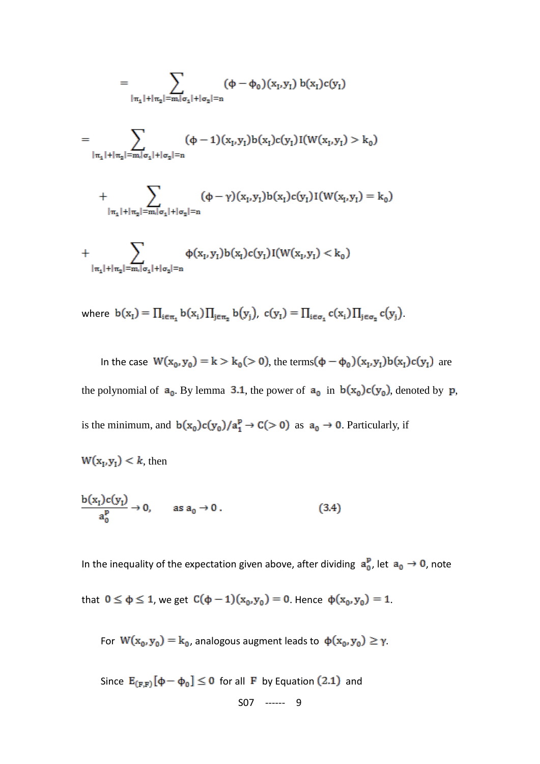$$
= \sum_{\substack{|\pi_1|+|\pi_2| = m, |\sigma_1|+|\sigma_2| = n}} (\Phi - \Phi_0)(x_1, y_1) b(x_1) c(y_1)
$$
  

$$
= \sum_{\substack{|\pi_1|+|\pi_2| = m, |\sigma_1|+|\sigma_2| = n}} (\Phi - 1)(x_1, y_1) b(x_1) c(y_1) I(W(x_1, y_1) > k_0)
$$

+ 
$$
\sum_{|\pi_1|+|\pi_2|=m, |\sigma_1|+|\sigma_2|=n} (\varphi-\gamma)(x_1,y_1)b(x_1)c(y_1)I(W(x_1,y_1)=k_0)
$$

+ 
$$
\sum_{|\pi_1|+|\pi_2|=m, |\sigma_1|+|\sigma_2|=n} \varphi(x_1, y_1) b(x_1) c(y_1) I(W(x_1, y_1) < k_0)
$$

where 
$$
b(x_1) = \prod_{i \in \pi_1} b(x_i) \prod_{j \in \pi_2} b(y_j)
$$
,  $c(y_1) = \prod_{i \in \sigma_1} c(x_i) \prod_{j \in \sigma_2} c(y_j)$ .

In the case  $W(x_0, y_0) = k > k_0 (> 0)$ , the terms  $(\phi - \phi_0)(x_1, y_1)b(x_1)c(y_1)$  are the polynomial of  $a_0$ . By lemma 3.1, the power of  $a_0$  in  $b(x_0)c(y_0)$ , denoted by p, is the minimum, and  $b(x_0)c(y_0)/a_1^p \rightarrow C(>0)$  as  $a_0 \rightarrow 0$ . Particularly, if

$$
W(x_i, y_i) < k, \text{ then}
$$

$$
\frac{b(x_1)c(y_1)}{a_0^p} \to 0, \quad \text{as } a_0 \to 0.
$$
 (3.4)

In the inequality of the expectation given above, after dividing  $a_0^p$ , let  $a_0 \rightarrow 0$ , note

that 
$$
0 \le \phi \le 1
$$
, we get  $C(\phi - 1)(x_0, y_0) = 0$ . Hence  $\phi(x_0, y_0) = 1$ .

For  $W(x_0, y_0) = k_0$ , analogous augment leads to  $\phi(x_0, y_0) \ge \gamma$ .

S07 ------ 9 Since  $E_{(F,F)}[\phi - \phi_0] \le 0$  for all F by Equation (2.1) and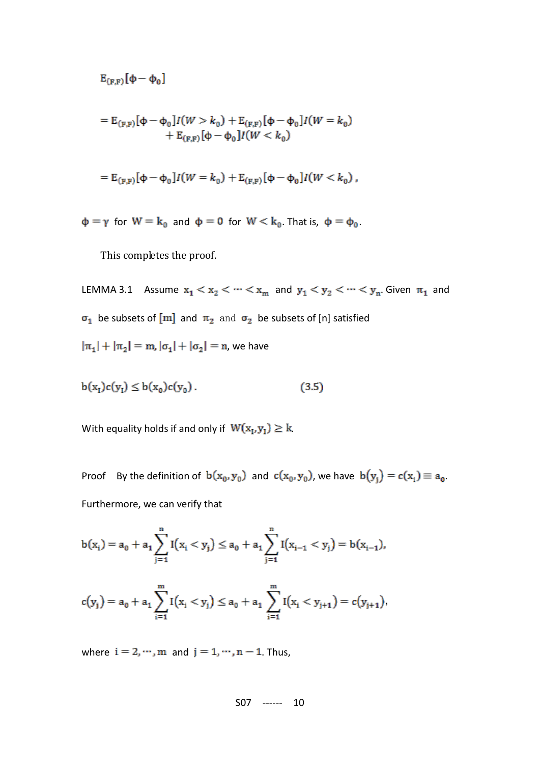$$
E_{(F,F)}[\varphi-\varphi_0]
$$

$$
= E_{(F,F)}[\Phi - \Phi_0]I(W > k_0) + E_{(F,F)}[\Phi - \Phi_0]I(W = k_0) + E_{(F,F)}[\Phi - \Phi_0]I(W < k_0)
$$

$$
= \mathbb{E}_{(\mathbf{F},\mathbf{F})}[\Phi - \Phi_0]I(W = k_0) + \mathbb{E}_{(\mathbf{F},\mathbf{F})}[\Phi - \Phi_0]I(W < k_0),
$$

 $\phi = \gamma$  for  $W = k_0$  and  $\phi = 0$  for  $W < k_0$ . That is,  $\phi = \phi_0$ .

This completes the proof.

LEMMA 3.1 Assume  $x_1 < x_2 < \cdots < x_m$  and  $y_1 < y_2 < \cdots < y_n$ . Given  $\pi_1$  and  $\sigma_1$  be subsets of [m] and  $\pi_2$  and  $\sigma_2$  be subsets of [n] satisfied  $|\pi_1| + |\pi_2| = m$ ,  $|\sigma_1| + |\sigma_2| = n$ , we have

$$
b(x_1)c(y_1) \le b(x_0)c(y_0). \tag{3.5}
$$

With equality holds if and only if  $W(x_1, y_1) \ge k$ .

Proof By the definition of  $b(x_0, y_0)$  and  $c(x_0, y_0)$ , we have  $b(y_i) = c(x_i) \equiv a_0$ . Furthermore, we can verify that

$$
b(x_i) = a_0 + a_1 \sum_{j=1}^{n} I(x_i < y_j) \le a_0 + a_1 \sum_{j=1}^{n} I(x_{i-1} < y_j) = b(x_{i-1}),
$$

$$
c(y_j) = a_0 + a_1 \sum_{i=1}^{m} I(x_i < y_j) \le a_0 + a_1 \sum_{i=1}^{m} I(x_i < y_{j+1}) = c(y_{j+1}),
$$

where  $i = 2, \dots, m$  and  $j = 1, \dots, n - 1$ . Thus,

$$
507 \ \ \cdots \qquad 10
$$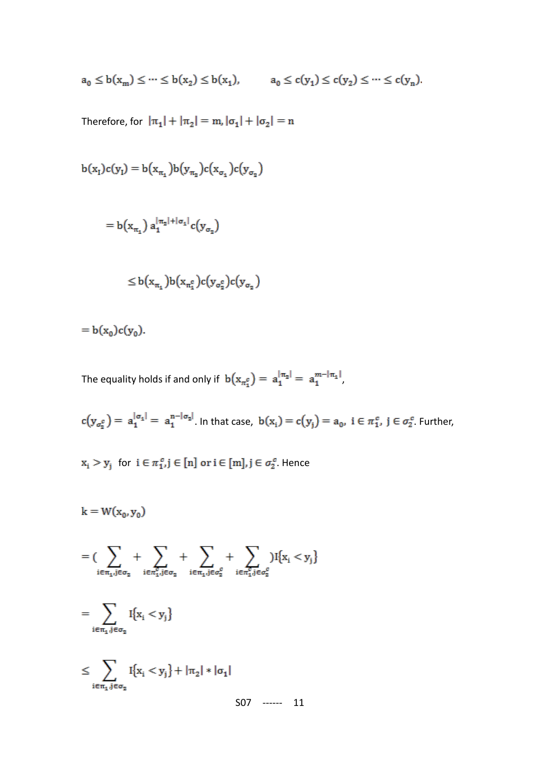$$
a_0 \le b(x_m) \le \dots \le b(x_2) \le b(x_1), \qquad a_0 \le c(y_1) \le c(y_2) \le \dots \le c(y_n).
$$

Therefore, for  $|\pi_1| + |\pi_2| = m$ ,  $|\sigma_1| + |\sigma_2| = n$ 

$$
b(x_1)c(y_1) = b(x_{\pi_1})b(y_{\pi_2})c(x_{\sigma_1})c(y_{\sigma_2})
$$
  
=  $b(x_{\pi_1}) a_1^{|\pi_2|+|\sigma_1|}c(y_{\sigma_2})$   
 $\leq b(x_{\pi_1})b(x_{\pi_1^c})c(y_{\sigma_2^c})c(y_{\sigma_2})$ 

 $= b(x_0)c(y_0).$ 

The equality holds if and only if  $b(x_{\pi_1^c}) = a_1^{|\pi_2|} = a_1^{m-|\pi_1|}$ ,

 $c(y_{\sigma_2^c}) = a_1^{|\sigma_1|} = a_1^{n-|\sigma_2|}$ . In that case,  $b(x_i) = c(y_i) = a_0$ ,  $i \in \pi_1^c$ ,  $j \in \sigma_2^c$ . Further,

 $x_i > y_j$  for  $i \in \pi_{1}^c, j \in [n]$  or  $i \in [m], j \in \sigma_2^c$ . Hence

$$
k = W(x_0, y_0)
$$
  
\n
$$
= \left( \sum_{i \in \pi_1, j \in \sigma_2} + \sum_{i \in \pi_1, j \in \sigma_2} + \sum_{i \in \pi_1, j \in \sigma_2^c} + \sum_{i \in \pi_1, j \in \sigma_2^c} \right) I\{x_i < y_j\}
$$
  
\n
$$
= \sum_{i \in \pi_1, j \in \sigma_2} I\{x_i < y_j\}
$$
  
\n
$$
\leq \sum_{i \in \pi_1, j \in \sigma_2} I\{x_i < y_j\} + |\pi_2| * |\sigma_1|
$$
  
\n
$$
\leq 07 \quad \text{---} 11
$$